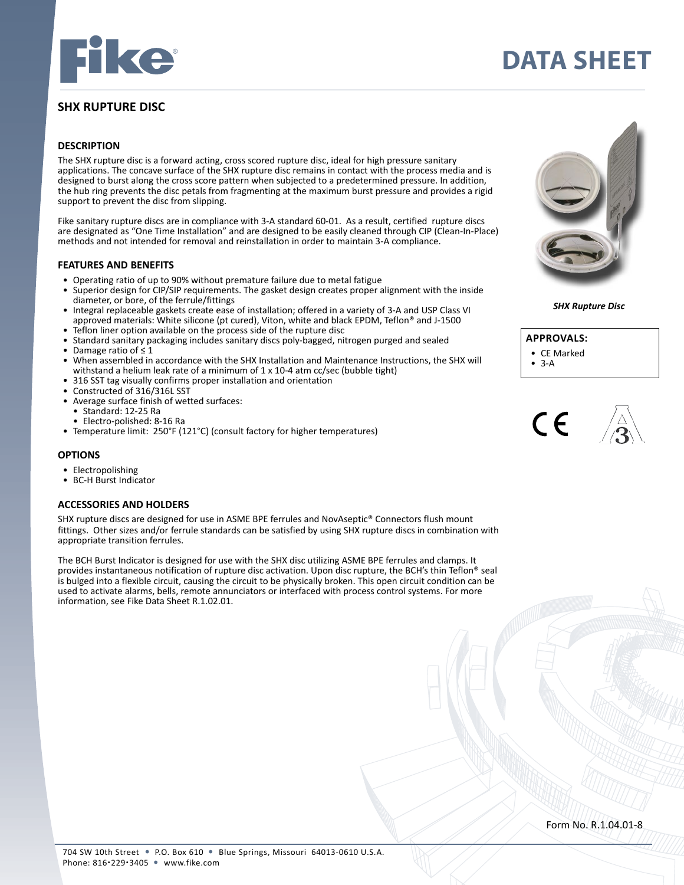

# **SHX RUPTURE DISC**

#### **DESCRIPTION**

The SHX rupture disc is a forward acting, cross scored rupture disc, ideal for high pressure sanitary applications. The concave surface of the SHX rupture disc remains in contact with the process media and is designed to burst along the cross score pattern when subjected to a predetermined pressure. In addition, the hub ring prevents the disc petals from fragmenting at the maximum burst pressure and provides a rigid support to prevent the disc from slipping.

Fike sanitary rupture discs are in compliance with 3-A standard 60-01. As a result, certified rupture discs are designated as "One Time Installation" and are designed to be easily cleaned through CIP (Clean-In-Place) methods and not intended for removal and reinstallation in order to maintain 3-A compliance.

#### **FEATURES AND BENEFITS**

- Operating ratio of up to 90% without premature failure due to metal fatigue
- Superior design for CIP/SIP requirements. The gasket design creates proper alignment with the inside diameter, or bore, of the ferrule/fittings
- Integral replaceable gaskets create ease of installation; offered in a variety of 3-A and USP Class VI approved materials: White silicone (pt cured), Viton, white and black EPDM, Teflon® and J-1500
- Teflon liner option available on the process side of the rupture disc
- Standard sanitary packaging includes sanitary discs poly-bagged, nitrogen purged and sealed Damage ratio of  $\leq 1$
- When assembled in accordance with the SHX Installation and Maintenance Instructions, the SHX will withstand a helium leak rate of a minimum of 1 x 10-4 atm cc/sec (bubble tight)
- 316 SST tag visually confirms proper installation and orientation
- Constructed of 316/316L SST
- Average surface finish of wetted surfaces:
	- Standard: 12-25 Ra
	- Electro-polished: 8-16 Ra
- Temperature limit: 250°F (121°C) (consult factory for higher temperatures)

#### **OPTIONS**

- Electropolishing
- BC-H Burst Indicator

#### **ACCESSORIES AND HOLDERS**

SHX rupture discs are designed for use in ASME BPE ferrules and NovAseptic® Connectors flush mount fittings. Other sizes and/or ferrule standards can be satisfied by using SHX rupture discs in combination with appropriate transition ferrules.

The BCH Burst Indicator is designed for use with the SHX disc utilizing ASME BPE ferrules and clamps. It provides instantaneous notification of rupture disc activation. Upon disc rupture, the BCH's thin Teflon® seal is bulged into a flexible circuit, causing the circuit to be physically broken. This open circuit condition can be used to activate alarms, bells, remote annunciators or interfaced with process control systems. For more information, see Fike Data Sheet R.1.02.01.



**DATA SHEET**

*SHX Rupture Disc*



- $3-A$
- 

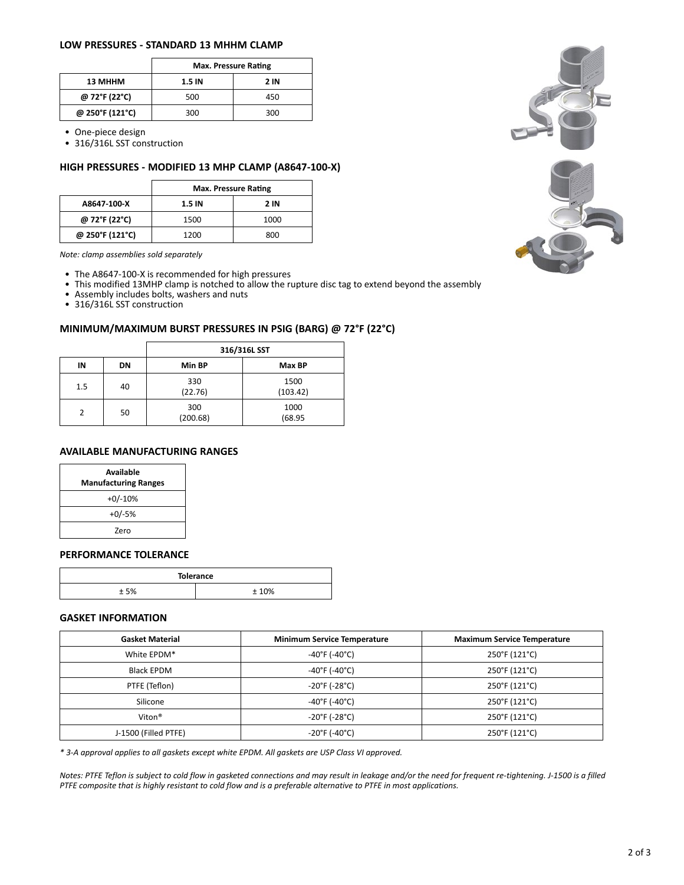### **LOW PRESSURES - STANDARD 13 MHHM CLAMP**

|                 | <b>Max. Pressure Rating</b> |             |  |
|-----------------|-----------------------------|-------------|--|
| 13 MHHM         | 1.5 IN                      | <b>2 IN</b> |  |
| @ 72°F (22°C)   | 500                         | 450         |  |
| @ 250°F (121°C) | 300                         | 300         |  |

• One-piece design

• 316/316L SST construction

### **HIGH PRESSURES - MODIFIED 13 MHP CLAMP (A8647-100-X)**

|                 | <b>Max. Pressure Rating</b> |      |  |
|-----------------|-----------------------------|------|--|
| A8647-100-X     | 1.5 IN                      | 2 IN |  |
| @ 72°F (22°C)   | 1500                        | 1000 |  |
| @ 250°F (121°C) | 1200                        | 800  |  |

*Note: clamp assemblies sold separately* 

- The A8647-100-X is recommended for high pressures
- This modified 13MHP clamp is notched to allow the rupture disc tag to extend beyond the assembly
- Assembly includes bolts, washers and nuts

• 316/316L SST construction

# **MINIMUM/MAXIMUM BURST PRESSURES IN PSIG (BARG) @ 72°F (22°C)**

|               |    | 316/316L SST    |                  |  |  |
|---------------|----|-----------------|------------------|--|--|
| IN            | DN | Min BP          | Max BP           |  |  |
| 1.5           | 40 | 330<br>(22.76)  | 1500<br>(103.42) |  |  |
| $\mathcal{P}$ | 50 | 300<br>(200.68) | 1000<br>(68.95)  |  |  |

# **AVAILABLE MANUFACTURING RANGES**

| Available<br><b>Manufacturing Ranges</b> |  |  |
|------------------------------------------|--|--|
| $+0/-10%$                                |  |  |
| $+0/-5%$                                 |  |  |
| 7ero                                     |  |  |

### **PERFORMANCE TOLERANCE**

| <b>Tolerance</b> |     |  |  |
|------------------|-----|--|--|
| r oz             | 10% |  |  |

# **GASKET INFORMATION**

| <b>Gasket Material</b> | <b>Minimum Service Temperature</b> | <b>Maximum Service Temperature</b> |  |
|------------------------|------------------------------------|------------------------------------|--|
| White EPDM*            | $-40^{\circ}$ F (-40 $^{\circ}$ C) | 250°F (121°C)                      |  |
| Black EPDM             | $-40^{\circ}$ F (-40 $^{\circ}$ C) | 250°F (121°C)                      |  |
| PTFE (Teflon)          | $-20^{\circ}$ F (-28 $^{\circ}$ C) | 250°F (121°C)                      |  |
| Silicone               | $-40^{\circ}$ F (-40 $^{\circ}$ C) | 250°F (121°C)                      |  |
| Viton <sup>®</sup>     | $-20^{\circ}$ F (-28 $^{\circ}$ C) | 250°F (121°C)                      |  |
| J-1500 (Filled PTFE)   | $-20^{\circ}$ F (-40 $^{\circ}$ C) | 250°F (121°C)                      |  |

*\* 3-A approval applies to all gaskets except white EPDM. All gaskets are USP Class VI approved.* 

*Notes: PTFE Teflon is subject to cold flow in gasketed connections and may result in leakage and/or the need for frequent re-tightening. J-1500 is a filled PTFE composite that is highly resistant to cold flow and is a preferable alternative to PTFE in most applications.*